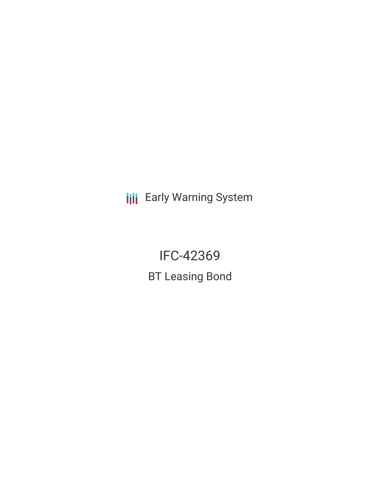**III** Early Warning System

IFC-42369 BT Leasing Bond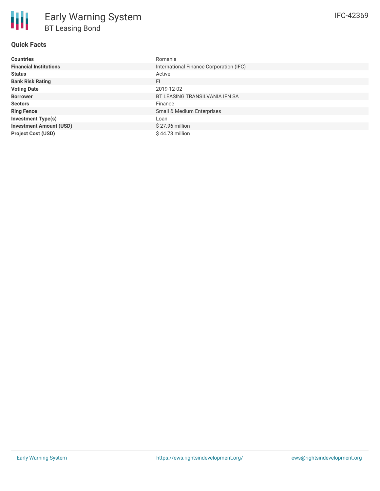# **Quick Facts**

| <b>Countries</b>               | Romania                                 |
|--------------------------------|-----------------------------------------|
| <b>Financial Institutions</b>  | International Finance Corporation (IFC) |
| <b>Status</b>                  | Active                                  |
| <b>Bank Risk Rating</b>        | FI                                      |
| <b>Voting Date</b>             | 2019-12-02                              |
| <b>Borrower</b>                | BT LEASING TRANSILVANIA IFN SA          |
| <b>Sectors</b>                 | Finance                                 |
| <b>Ring Fence</b>              | Small & Medium Enterprises              |
| <b>Investment Type(s)</b>      | Loan                                    |
| <b>Investment Amount (USD)</b> | $$27.96$ million                        |
| <b>Project Cost (USD)</b>      | $$44.73$ million                        |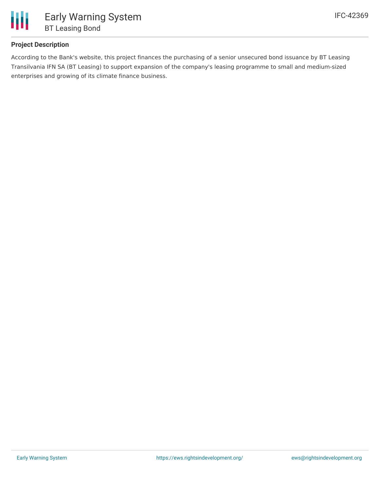

## **Project Description**

According to the Bank's website, this project finances the purchasing of a senior unsecured bond issuance by BT Leasing Transilvania IFN SA (BT Leasing) to support expansion of the company's leasing programme to small and medium-sized enterprises and growing of its climate finance business.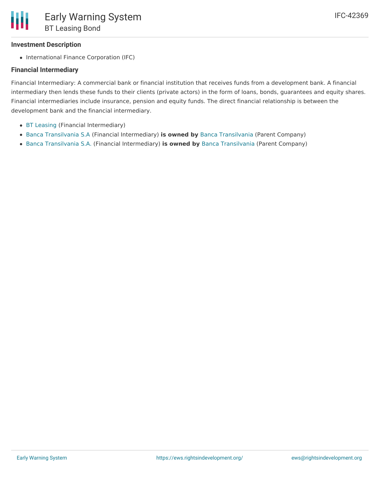• International Finance Corporation (IFC)

### **Financial Intermediary**

Financial Intermediary: A commercial bank or financial institution that receives funds from a development bank. A financial intermediary then lends these funds to their clients (private actors) in the form of loans, bonds, guarantees and equity shares. Financial intermediaries include insurance, pension and equity funds. The direct financial relationship is between the development bank and the financial intermediary.

- BT [Leasing](file:///actor/2796/) (Financial Intermediary)
- Banca [Transilvania](file:///actor/4425/) S.A (Financial Intermediary) **is owned by** Banca [Transilvania](file:///actor/861/) (Parent Company)
- Banca [Transilvania](file:///actor/3965/) S.A. (Financial Intermediary) **is owned by** Banca [Transilvania](file:///actor/861/) (Parent Company)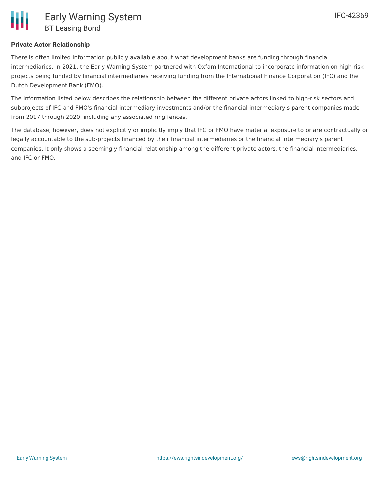## **Private Actor Relationship**

There is often limited information publicly available about what development banks are funding through financial intermediaries. In 2021, the Early Warning System partnered with Oxfam International to incorporate information on high-risk projects being funded by financial intermediaries receiving funding from the International Finance Corporation (IFC) and the Dutch Development Bank (FMO).

The information listed below describes the relationship between the different private actors linked to high-risk sectors and subprojects of IFC and FMO's financial intermediary investments and/or the financial intermediary's parent companies made from 2017 through 2020, including any associated ring fences.

The database, however, does not explicitly or implicitly imply that IFC or FMO have material exposure to or are contractually or legally accountable to the sub-projects financed by their financial intermediaries or the financial intermediary's parent companies. It only shows a seemingly financial relationship among the different private actors, the financial intermediaries, and IFC or FMO.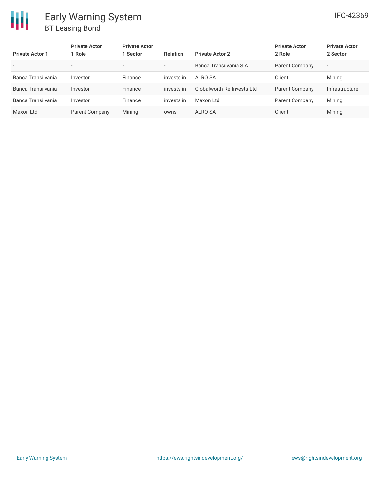| <b>Private Actor 1</b>   | <b>Private Actor</b><br>1 Role | <b>Private Actor</b><br>1 Sector | <b>Relation</b>          | <b>Private Actor 2</b>     | <b>Private Actor</b><br>2 Role | <b>Private Actor</b><br>2 Sector |
|--------------------------|--------------------------------|----------------------------------|--------------------------|----------------------------|--------------------------------|----------------------------------|
| $\overline{\phantom{0}}$ | $\overline{\phantom{a}}$       | $\overline{\phantom{a}}$         | $\overline{\phantom{a}}$ | Banca Transilvania S.A.    | Parent Company                 | $\overline{\phantom{a}}$         |
| Banca Transilvania       | Investor                       | Finance                          | invests in               | ALRO SA                    | Client                         | Mining                           |
| Banca Transilvania       | Investor                       | Finance                          | invests in               | Globalworth Re Invests Ltd | Parent Company                 | Infrastructure                   |
| Banca Transilvania       | Investor                       | Finance                          | invests in               | Maxon Ltd                  | Parent Company                 | Mining                           |
| Maxon Ltd                | Parent Company                 | Mining                           | owns                     | ALRO SA                    | Client                         | Mining                           |